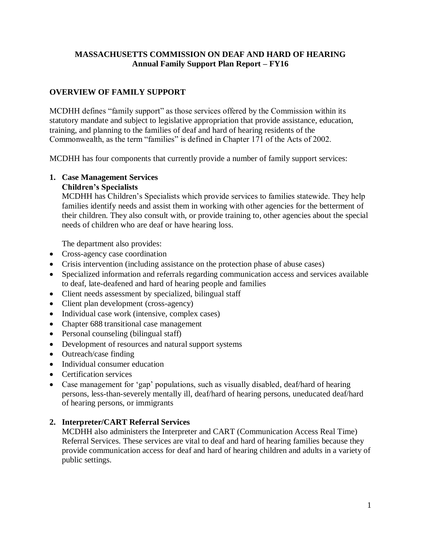### **MASSACHUSETTS COMMISSION ON DEAF AND HARD OF HEARING Annual Family Support Plan Report – FY16**

# **OVERVIEW OF FAMILY SUPPORT**

MCDHH defines "family support" as those services offered by the Commission within its statutory mandate and subject to legislative appropriation that provide assistance, education, training, and planning to the families of deaf and hard of hearing residents of the Commonwealth, as the term "families" is defined in Chapter 171 of the Acts of 2002.

MCDHH has four components that currently provide a number of family support services:

# **1. Case Management Services**

#### **Children's Specialists**

MCDHH has Children's Specialists which provide services to families statewide. They help families identify needs and assist them in working with other agencies for the betterment of their children. They also consult with, or provide training to, other agencies about the special needs of children who are deaf or have hearing loss.

The department also provides:

- Cross-agency case coordination
- Crisis intervention (including assistance on the protection phase of abuse cases)
- Specialized information and referrals regarding communication access and services available to deaf, late-deafened and hard of hearing people and families
- Client needs assessment by specialized, bilingual staff
- Client plan development (cross-agency)
- Individual case work (intensive, complex cases)
- Chapter 688 transitional case management
- Personal counseling (bilingual staff)
- Development of resources and natural support systems
- Outreach/case finding
- Individual consumer education
- Certification services
- Case management for 'gap' populations, such as visually disabled, deaf/hard of hearing persons, less-than-severely mentally ill, deaf/hard of hearing persons, uneducated deaf/hard of hearing persons, or immigrants

### **2. Interpreter/CART Referral Services**

MCDHH also administers the Interpreter and CART (Communication Access Real Time) Referral Services. These services are vital to deaf and hard of hearing families because they provide communication access for deaf and hard of hearing children and adults in a variety of public settings.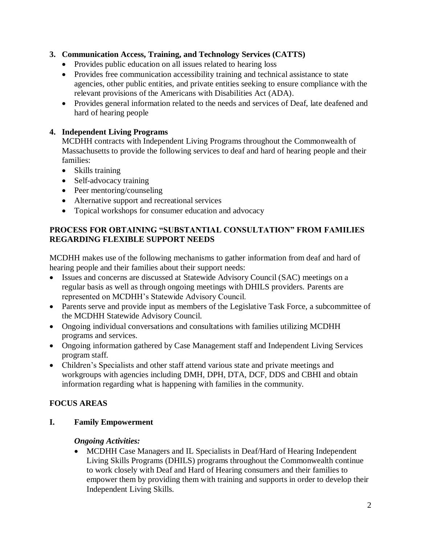# **3. Communication Access, Training, and Technology Services (CATTS)**

- Provides public education on all issues related to hearing loss
- Provides free communication accessibility training and technical assistance to state agencies, other public entities, and private entities seeking to ensure compliance with the relevant provisions of the Americans with Disabilities Act (ADA).
- Provides general information related to the needs and services of Deaf, late deafened and hard of hearing people

# **4. Independent Living Programs**

MCDHH contracts with Independent Living Programs throughout the Commonwealth of Massachusetts to provide the following services to deaf and hard of hearing people and their families:

- Skills training
- Self-advocacy training
- Peer mentoring/counseling
- Alternative support and recreational services
- Topical workshops for consumer education and advocacy

# **PROCESS FOR OBTAINING "SUBSTANTIAL CONSULTATION" FROM FAMILIES REGARDING FLEXIBLE SUPPORT NEEDS**

MCDHH makes use of the following mechanisms to gather information from deaf and hard of hearing people and their families about their support needs:

- Issues and concerns are discussed at Statewide Advisory Council (SAC) meetings on a regular basis as well as through ongoing meetings with DHILS providers. Parents are represented on MCDHH's Statewide Advisory Council.
- Parents serve and provide input as members of the Legislative Task Force, a subcommittee of the MCDHH Statewide Advisory Council.
- Ongoing individual conversations and consultations with families utilizing MCDHH programs and services.
- Ongoing information gathered by Case Management staff and Independent Living Services program staff.
- Children's Specialists and other staff attend various state and private meetings and workgroups with agencies including DMH, DPH, DTA, DCF, DDS and CBHI and obtain information regarding what is happening with families in the community.

# **FOCUS AREAS**

**I. Family Empowerment**

### *Ongoing Activities:*

• MCDHH Case Managers and IL Specialists in Deaf/Hard of Hearing Independent Living Skills Programs (DHILS) programs throughout the Commonwealth continue to work closely with Deaf and Hard of Hearing consumers and their families to empower them by providing them with training and supports in order to develop their Independent Living Skills.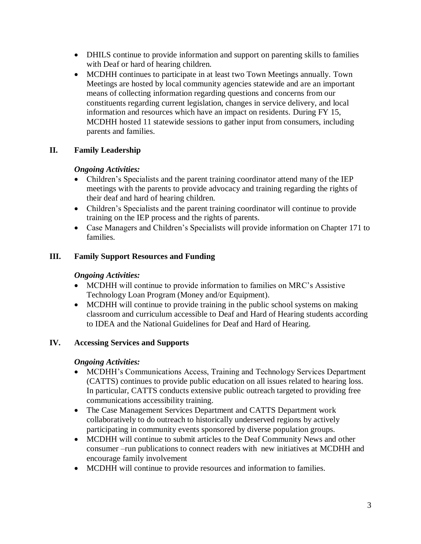- DHILS continue to provide information and support on parenting skills to families with Deaf or hard of hearing children.
- MCDHH continues to participate in at least two Town Meetings annually. Town Meetings are hosted by local community agencies statewide and are an important means of collecting information regarding questions and concerns from our constituents regarding current legislation, changes in service delivery, and local information and resources which have an impact on residents. During FY 15, MCDHH hosted 11 statewide sessions to gather input from consumers, including parents and families.

# **II. Family Leadership**

### *Ongoing Activities:*

- Children's Specialists and the parent training coordinator attend many of the IEP meetings with the parents to provide advocacy and training regarding the rights of their deaf and hard of hearing children.
- Children's Specialists and the parent training coordinator will continue to provide training on the IEP process and the rights of parents.
- Case Managers and Children's Specialists will provide information on Chapter 171 to families.

## **III. Family Support Resources and Funding**

### *Ongoing Activities:*

- MCDHH will continue to provide information to families on MRC's Assistive Technology Loan Program (Money and/or Equipment).
- MCDHH will continue to provide training in the public school systems on making classroom and curriculum accessible to Deaf and Hard of Hearing students according to IDEA and the National Guidelines for Deaf and Hard of Hearing.

# **IV. Accessing Services and Supports**

### *Ongoing Activities:*

- MCDHH's Communications Access, Training and Technology Services Department (CATTS) continues to provide public education on all issues related to hearing loss. In particular, CATTS conducts extensive public outreach targeted to providing free communications accessibility training.
- The Case Management Services Department and CATTS Department work collaboratively to do outreach to historically underserved regions by actively participating in community events sponsored by diverse population groups.
- MCDHH will continue to submit articles to the Deaf Community News and other consumer –run publications to connect readers with new initiatives at MCDHH and encourage family involvement
- MCDHH will continue to provide resources and information to families.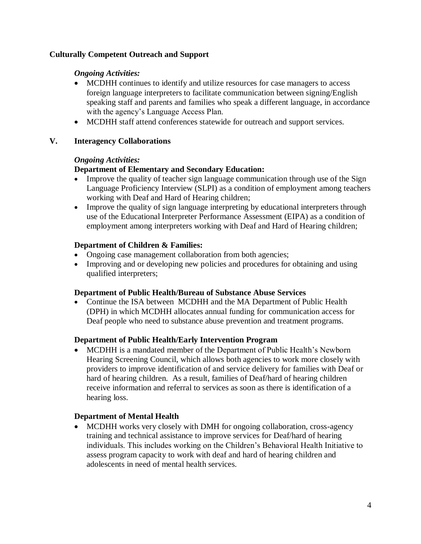### **Culturally Competent Outreach and Support**

### *Ongoing Activities:*

- MCDHH continues to identify and utilize resources for case managers to access foreign language interpreters to facilitate communication between signing/English speaking staff and parents and families who speak a different language, in accordance with the agency's Language Access Plan.
- MCDHH staff attend conferences statewide for outreach and support services.

## **V. Interagency Collaborations**

## *Ongoing Activities:*

## **Department of Elementary and Secondary Education:**

- Improve the quality of teacher sign language communication through use of the Sign Language Proficiency Interview (SLPI) as a condition of employment among teachers working with Deaf and Hard of Hearing children;
- Improve the quality of sign language interpreting by educational interpreters through use of the Educational Interpreter Performance Assessment (EIPA) as a condition of employment among interpreters working with Deaf and Hard of Hearing children;

## **Department of Children & Families:**

- Ongoing case management collaboration from both agencies;
- Improving and or developing new policies and procedures for obtaining and using qualified interpreters;

### **Department of Public Health/Bureau of Substance Abuse Services**

• Continue the ISA between MCDHH and the MA Department of Public Health (DPH) in which MCDHH allocates annual funding for communication access for Deaf people who need to substance abuse prevention and treatment programs.

# **Department of Public Health/Early Intervention Program**

• MCDHH is a mandated member of the Department of Public Health's Newborn Hearing Screening Council, which allows both agencies to work more closely with providers to improve identification of and service delivery for families with Deaf or hard of hearing children. As a result, families of Deaf/hard of hearing children receive information and referral to services as soon as there is identification of a hearing loss.

# **Department of Mental Health**

 MCDHH works very closely with DMH for ongoing collaboration, cross-agency training and technical assistance to improve services for Deaf/hard of hearing individuals. This includes working on the Children's Behavioral Health Initiative to assess program capacity to work with deaf and hard of hearing children and adolescents in need of mental health services.